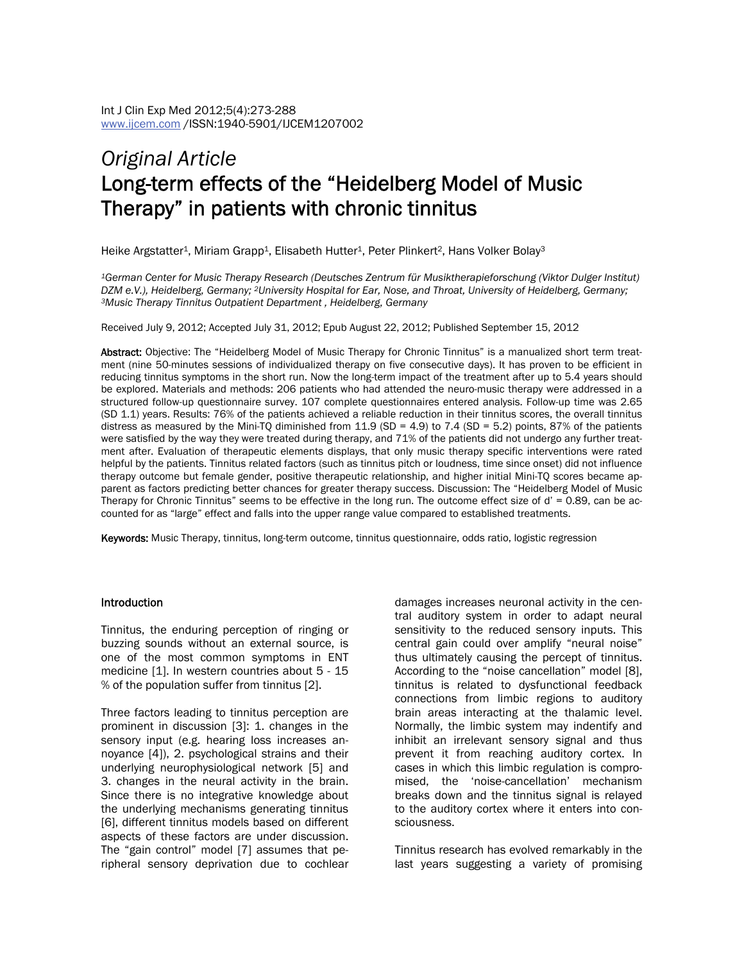# *Original Article* Long-term effects of the "Heidelberg Model of Music Therapy" in patients with chronic tinnitus

Heike Argstatter<sup>1</sup>, Miriam Grapp<sup>1</sup>, Elisabeth Hutter<sup>1</sup>, Peter Plinkert<sup>2</sup>, Hans Volker Bolay<sup>3</sup>

*1German Center for Music Therapy Research (Deutsches Zentrum für Musiktherapieforschung (Viktor Dulger Institut) DZM e.V.), Heidelberg, Germany; <sup>2</sup>University Hospital for Ear, Nose, and Throat, University of Heidelberg, Germany;*<br><sup>3</sup>Music Therapy Tinnitus Outpatient Department , Heidelberg, Germany

Received July 9, 2012; Accepted July 31, 2012; Epub August 22, 2012; Published September 15, 2012

Abstract: Objective: The "Heidelberg Model of Music Therapy for Chronic Tinnitus" is a manualized short term treatment (nine 50-minutes sessions of individualized therapy on five consecutive days). It has proven to be efficient in reducing tinnitus symptoms in the short run. Now the long-term impact of the treatment after up to 5.4 years should be explored. Materials and methods: 206 patients who had attended the neuro-music therapy were addressed in a structured follow-up questionnaire survey. 107 complete questionnaires entered analysis. Follow-up time was 2.65 (SD 1.1) years. Results: 76% of the patients achieved a reliable reduction in their tinnitus scores, the overall tinnitus distress as measured by the Mini-TQ diminished from 11.9 (SD = 4.9) to 7.4 (SD = 5.2) points, 87% of the patients were satisfied by the way they were treated during therapy, and 71% of the patients did not undergo any further treatment after. Evaluation of therapeutic elements displays, that only music therapy specific interventions were rated helpful by the patients. Tinnitus related factors (such as tinnitus pitch or loudness, time since onset) did not influence therapy outcome but female gender, positive therapeutic relationship, and higher initial Mini-TQ scores became apparent as factors predicting better chances for greater therapy success. Discussion: The "Heidelberg Model of Music Therapy for Chronic Tinnitus" seems to be effective in the long run. The outcome effect size of d' = 0.89, can be accounted for as "large" effect and falls into the upper range value compared to established treatments.

Keywords: Music Therapy, tinnitus, long-term outcome, tinnitus questionnaire, odds ratio, logistic regression

#### Introduction

Tinnitus, the enduring perception of ringing or buzzing sounds without an external source, is one of the most common symptoms in ENT medicine [1]. In western countries about 5 - 15 % of the population suffer from tinnitus [2].

Three factors leading to tinnitus perception are prominent in discussion [3]: 1. changes in the sensory input (e.g. hearing loss increases annoyance [4]), 2. psychological strains and their underlying neurophysiological network [5] and 3. changes in the neural activity in the brain. Since there is no integrative knowledge about the underlying mechanisms generating tinnitus [6], different tinnitus models based on different aspects of these factors are under discussion. The "gain control" model [7] assumes that peripheral sensory deprivation due to cochlear

damages increases neuronal activity in the central auditory system in order to adapt neural sensitivity to the reduced sensory inputs. This central gain could over amplify "neural noise" thus ultimately causing the percept of tinnitus. According to the "noise cancellation" model [8], tinnitus is related to dysfunctional feedback connections from limbic regions to auditory brain areas interacting at the thalamic level. Normally, the limbic system may indentify and inhibit an irrelevant sensory signal and thus prevent it from reaching auditory cortex. In cases in which this limbic regulation is compromised, the 'noise-cancellation' mechanism breaks down and the tinnitus signal is relayed to the auditory cortex where it enters into consciousness.

Tinnitus research has evolved remarkably in the last years suggesting a variety of promising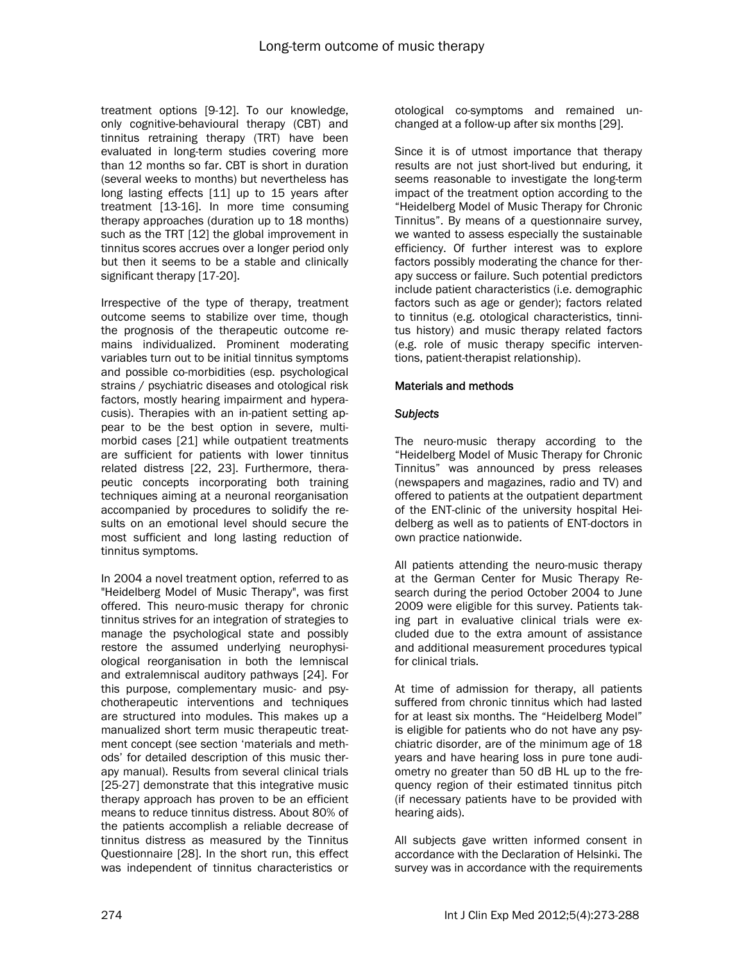treatment options [9-12]. To our knowledge, only cognitive-behavioural therapy (CBT) and tinnitus retraining therapy (TRT) have been evaluated in long-term studies covering more than 12 months so far. CBT is short in duration (several weeks to months) but nevertheless has long lasting effects [11] up to 15 years after treatment [13-16]. In more time consuming therapy approaches (duration up to 18 months) such as the TRT [12] the global improvement in tinnitus scores accrues over a longer period only but then it seems to be a stable and clinically significant therapy [17-20].

Irrespective of the type of therapy, treatment outcome seems to stabilize over time, though the prognosis of the therapeutic outcome remains individualized. Prominent moderating variables turn out to be initial tinnitus symptoms and possible co-morbidities (esp. psychological strains / psychiatric diseases and otological risk factors, mostly hearing impairment and hyperacusis). Therapies with an in-patient setting appear to be the best option in severe, multimorbid cases [21] while outpatient treatments are sufficient for patients with lower tinnitus related distress [22, 23]. Furthermore, therapeutic concepts incorporating both training techniques aiming at a neuronal reorganisation accompanied by procedures to solidify the results on an emotional level should secure the most sufficient and long lasting reduction of tinnitus symptoms.

In 2004 a novel treatment option, referred to as "Heidelberg Model of Music Therapy", was first offered. This neuro-music therapy for chronic tinnitus strives for an integration of strategies to manage the psychological state and possibly restore the assumed underlying neurophysiological reorganisation in both the lemniscal and extralemniscal auditory pathways [24]. For this purpose, complementary music- and psychotherapeutic interventions and techniques are structured into modules. This makes up a manualized short term music therapeutic treatment concept (see section 'materials and methods' for detailed description of this music therapy manual). Results from several clinical trials [25-27] demonstrate that this integrative music therapy approach has proven to be an efficient means to reduce tinnitus distress. About 80% of the patients accomplish a reliable decrease of tinnitus distress as measured by the Tinnitus Questionnaire [28]. In the short run, this effect was independent of tinnitus characteristics or

otological co-symptoms and remained unchanged at a follow-up after six months [29].

Since it is of utmost importance that therapy results are not just short-lived but enduring, it seems reasonable to investigate the long-term impact of the treatment option according to the "Heidelberg Model of Music Therapy for Chronic Tinnitus". By means of a questionnaire survey, we wanted to assess especially the sustainable efficiency. Of further interest was to explore factors possibly moderating the chance for therapy success or failure. Such potential predictors include patient characteristics (i.e. demographic factors such as age or gender); factors related to tinnitus (e.g. otological characteristics, tinnitus history) and music therapy related factors (e.g. role of music therapy specific interventions, patient-therapist relationship).

## Materials and methods

## *Subjects*

The neuro-music therapy according to the "Heidelberg Model of Music Therapy for Chronic Tinnitus" was announced by press releases (newspapers and magazines, radio and TV) and offered to patients at the outpatient department of the ENT-clinic of the university hospital Heidelberg as well as to patients of ENT-doctors in own practice nationwide.

All patients attending the neuro-music therapy at the German Center for Music Therapy Research during the period October 2004 to June 2009 were eligible for this survey. Patients taking part in evaluative clinical trials were excluded due to the extra amount of assistance and additional measurement procedures typical for clinical trials.

At time of admission for therapy, all patients suffered from chronic tinnitus which had lasted for at least six months. The "Heidelberg Model" is eligible for patients who do not have any psychiatric disorder, are of the minimum age of 18 years and have hearing loss in pure tone audiometry no greater than 50 dB HL up to the frequency region of their estimated tinnitus pitch (if necessary patients have to be provided with hearing aids).

All subjects gave written informed consent in accordance with the Declaration of Helsinki. The survey was in accordance with the requirements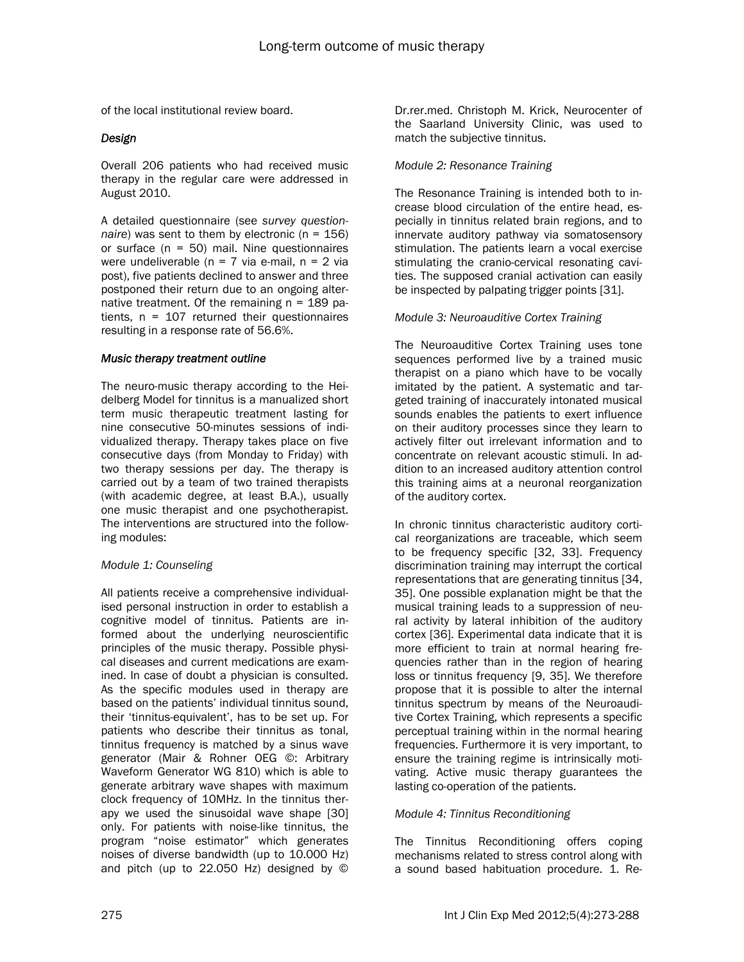of the local institutional review board.

## *Design*

Overall 206 patients who had received music therapy in the regular care were addressed in August 2010.

A detailed questionnaire (see *survey questionnaire*) was sent to them by electronic (n = 156) or surface  $(n = 50)$  mail. Nine questionnaires were undeliverable ( $n = 7$  via e-mail,  $n = 2$  via post), five patients declined to answer and three postponed their return due to an ongoing alternative treatment. Of the remaining  $n = 189$  patients,  $n = 107$  returned their questionnaires resulting in a response rate of 56.6%.

## *Music therapy treatment outline*

The neuro-music therapy according to the Heidelberg Model for tinnitus is a manualized short term music therapeutic treatment lasting for nine consecutive 50-minutes sessions of individualized therapy. Therapy takes place on five consecutive days (from Monday to Friday) with two therapy sessions per day. The therapy is carried out by a team of two trained therapists (with academic degree, at least B.A.), usually one music therapist and one psychotherapist. The interventions are structured into the following modules:

#### *Module 1: Counseling*

All patients receive a comprehensive individualised personal instruction in order to establish a cognitive model of tinnitus. Patients are informed about the underlying neuroscientific principles of the music therapy. Possible physical diseases and current medications are examined. In case of doubt a physician is consulted. As the specific modules used in therapy are based on the patients' individual tinnitus sound, their 'tinnitus-equivalent', has to be set up. For patients who describe their tinnitus as tonal, tinnitus frequency is matched by a sinus wave generator (Mair & Rohner OEG ©: Arbitrary Waveform Generator WG 810) which is able to generate arbitrary wave shapes with maximum clock frequency of 10MHz. In the tinnitus therapy we used the sinusoidal wave shape [30] only. For patients with noise-like tinnitus, the program "noise estimator" which generates noises of diverse bandwidth (up to 10.000 Hz) and pitch (up to 22.050 Hz) designed by ©

Dr.rer.med. Christoph M. Krick, Neurocenter of the Saarland University Clinic, was used to match the subjective tinnitus.

#### *Module 2: Resonance Training*

The Resonance Training is intended both to increase blood circulation of the entire head, especially in tinnitus related brain regions, and to innervate auditory pathway via somatosensory stimulation. The patients learn a vocal exercise stimulating the cranio-cervical resonating cavities. The supposed cranial activation can easily be inspected by palpating trigger points [31].

## *Module 3: Neuroauditive Cortex Training*

The Neuroauditive Cortex Training uses tone sequences performed live by a trained music therapist on a piano which have to be vocally imitated by the patient. A systematic and targeted training of inaccurately intonated musical sounds enables the patients to exert influence on their auditory processes since they learn to actively filter out irrelevant information and to concentrate on relevant acoustic stimuli. In addition to an increased auditory attention control this training aims at a neuronal reorganization of the auditory cortex.

In chronic tinnitus characteristic auditory cortical reorganizations are traceable, which seem to be frequency specific [32, 33]. Frequency discrimination training may interrupt the cortical representations that are generating tinnitus [34, 35]. One possible explanation might be that the musical training leads to a suppression of neural activity by lateral inhibition of the auditory cortex [36]. Experimental data indicate that it is more efficient to train at normal hearing frequencies rather than in the region of hearing loss or tinnitus frequency [9, 35]. We therefore propose that it is possible to alter the internal tinnitus spectrum by means of the Neuroauditive Cortex Training, which represents a specific perceptual training within in the normal hearing frequencies. Furthermore it is very important, to ensure the training regime is intrinsically motivating. Active music therapy guarantees the lasting co-operation of the patients.

# *Module 4: Tinnitus Reconditioning*

The Tinnitus Reconditioning offers coping mechanisms related to stress control along with a sound based habituation procedure. 1. Re-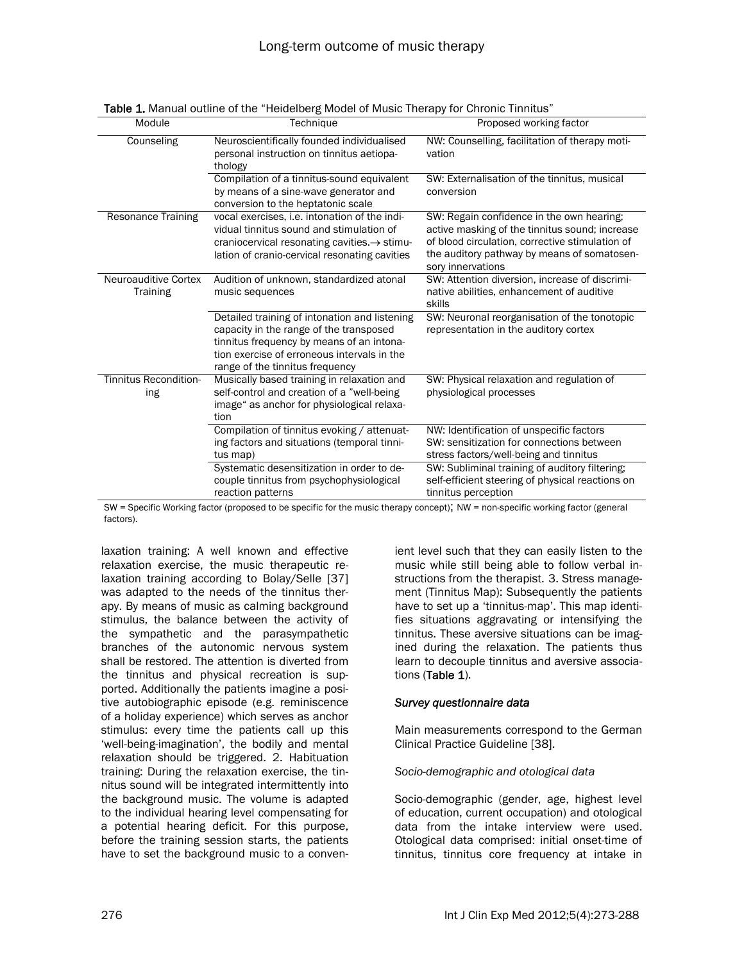| Module                              | Technique                                                                                                                                                                                                               | Proposed working factor                                                                                                                                                                                            |
|-------------------------------------|-------------------------------------------------------------------------------------------------------------------------------------------------------------------------------------------------------------------------|--------------------------------------------------------------------------------------------------------------------------------------------------------------------------------------------------------------------|
| Counseling                          | Neuroscientifically founded individualised<br>personal instruction on tinnitus aetiopa-<br>thology                                                                                                                      | NW: Counselling, facilitation of therapy moti-<br>vation                                                                                                                                                           |
|                                     | Compilation of a tinnitus-sound equivalent<br>by means of a sine-wave generator and<br>conversion to the heptatonic scale                                                                                               | SW: Externalisation of the tinnitus, musical<br>conversion                                                                                                                                                         |
| <b>Resonance Training</b>           | vocal exercises, i.e. intonation of the indi-<br>vidual tinnitus sound and stimulation of<br>craniocervical resonating cavities. $\rightarrow$ stimu-<br>lation of cranio-cervical resonating cavities                  | SW: Regain confidence in the own hearing;<br>active masking of the tinnitus sound; increase<br>of blood circulation, corrective stimulation of<br>the auditory pathway by means of somatosen-<br>sory innervations |
| Neuroauditive Cortex<br>Training    | Audition of unknown, standardized atonal<br>music sequences                                                                                                                                                             | SW: Attention diversion, increase of discrimi-<br>native abilities, enhancement of auditive<br>skills                                                                                                              |
|                                     | Detailed training of intonation and listening<br>capacity in the range of the transposed<br>tinnitus frequency by means of an intona-<br>tion exercise of erroneous intervals in the<br>range of the tinnitus frequency | SW: Neuronal reorganisation of the tonotopic<br>representation in the auditory cortex                                                                                                                              |
| <b>Tinnitus Recondition-</b><br>ing | Musically based training in relaxation and<br>self-control and creation of a "well-being<br>image" as anchor for physiological relaxa-<br>tion                                                                          | SW: Physical relaxation and regulation of<br>physiological processes                                                                                                                                               |
|                                     | Compilation of tinnitus evoking / attenuat-<br>ing factors and situations (temporal tinni-<br>tus map)                                                                                                                  | NW: Identification of unspecific factors<br>SW: sensitization for connections between<br>stress factors/well-being and tinnitus                                                                                    |
|                                     | Systematic desensitization in order to de-<br>couple tinnitus from psychophysiological<br>reaction patterns                                                                                                             | SW: Subliminal training of auditory filtering;<br>self-efficient steering of physical reactions on<br>tinnitus perception                                                                                          |

Table 1. Manual outline of the "Heidelberg Model of Music Therapy for Chronic Tinnitus"

SW = Specific Working factor (proposed to be specific for the music therapy concept); NW = non-specific working factor (general factors).

laxation training: A well known and effective relaxation exercise, the music therapeutic relaxation training according to Bolay/Selle [37] was adapted to the needs of the tinnitus therapy. By means of music as calming background stimulus, the balance between the activity of the sympathetic and the parasympathetic branches of the autonomic nervous system shall be restored. The attention is diverted from the tinnitus and physical recreation is supported. Additionally the patients imagine a positive autobiographic episode (e.g. reminiscence of a holiday experience) which serves as anchor stimulus: every time the patients call up this 'well-being-imagination', the bodily and mental relaxation should be triggered. 2. Habituation training: During the relaxation exercise, the tinnitus sound will be integrated intermittently into the background music. The volume is adapted to the individual hearing level compensating for a potential hearing deficit. For this purpose, before the training session starts, the patients have to set the background music to a convenient level such that they can easily listen to the music while still being able to follow verbal instructions from the therapist. 3. Stress management (Tinnitus Map): Subsequently the patients have to set up a 'tinnitus-map'. This map identifies situations aggravating or intensifying the tinnitus. These aversive situations can be imagined during the relaxation. The patients thus learn to decouple tinnitus and aversive associations (Table 1).

#### *Survey questionnaire data*

Main measurements correspond to the German Clinical Practice Guideline [38].

*Socio-demographic and otological data* 

Socio-demographic (gender, age, highest level of education, current occupation) and otological data from the intake interview were used. Otological data comprised: initial onset-time of tinnitus, tinnitus core frequency at intake in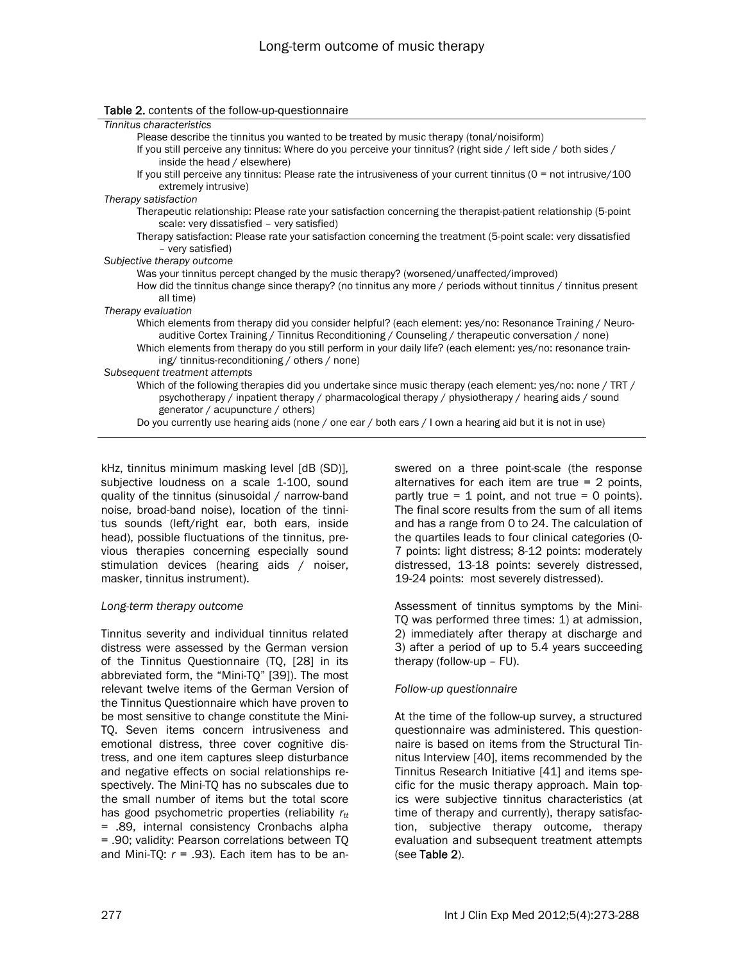| <b>Table 2.</b> contents of the follow-up-questionnaire                                                                                                                                                                                                                                                                        |
|--------------------------------------------------------------------------------------------------------------------------------------------------------------------------------------------------------------------------------------------------------------------------------------------------------------------------------|
| Tinnitus characteristics                                                                                                                                                                                                                                                                                                       |
| Please describe the tinnitus you wanted to be treated by music therapy (tonal/noisiform)                                                                                                                                                                                                                                       |
| If you still perceive any tinnitus: Where do you perceive your tinnitus? (right side / left side / both sides /                                                                                                                                                                                                                |
| inside the head / elsewhere)                                                                                                                                                                                                                                                                                                   |
| If you still perceive any tinnitus: Please rate the intrusiveness of your current tinnitus ( $0 =$ not intrusive/100<br>extremely intrusive)                                                                                                                                                                                   |
| Therapy satisfaction                                                                                                                                                                                                                                                                                                           |
| Therapeutic relationship: Please rate your satisfaction concerning the therapist-patient relationship (5-point<br>scale: very dissatisfied - very satisfied)                                                                                                                                                                   |
| Therapy satisfaction: Please rate your satisfaction concerning the treatment (5-point scale: very dissatisfied<br>- very satisfied)                                                                                                                                                                                            |
| Subjective therapy outcome                                                                                                                                                                                                                                                                                                     |
| Was your tinnitus percept changed by the music therapy? (worsened/unaffected/improved)                                                                                                                                                                                                                                         |
| How did the tinnitus change since therapy? (no tinnitus any more / periods without tinnitus / tinnitus present<br>all time)                                                                                                                                                                                                    |
| Therapy evaluation                                                                                                                                                                                                                                                                                                             |
| Which elements from therapy did you consider helpful? (each element: yes/no: Resonance Training / Neuro-<br>auditive Cortex Training / Tinnitus Reconditioning / Counseling / therapeutic conversation / none)<br>Which elements from therapy do you still perform in your daily life? (each element: yes/no: resonance train- |
| ing/tinnitus-reconditioning/others/none)                                                                                                                                                                                                                                                                                       |
| Subsequent treatment attempts                                                                                                                                                                                                                                                                                                  |
| Which of the following therapies did you undertake since music therapy (each element: yes/no: none / TRT /                                                                                                                                                                                                                     |
| psychotherapy / inpatient therapy / pharmacological therapy / physiotherapy / hearing aids / sound                                                                                                                                                                                                                             |
| generator / acupuncture / others)                                                                                                                                                                                                                                                                                              |
| Do you currently use hearing aids (none / one ear / both ears / I own a hearing aid but it is not in use)                                                                                                                                                                                                                      |
|                                                                                                                                                                                                                                                                                                                                |

kHz, tinnitus minimum masking level [dB (SD)], subjective loudness on a scale 1-100, sound quality of the tinnitus (sinusoidal / narrow-band noise, broad-band noise), location of the tinnitus sounds (left/right ear, both ears, inside head), possible fluctuations of the tinnitus, previous therapies concerning especially sound stimulation devices (hearing aids / noiser, masker, tinnitus instrument).

#### *Long-term therapy outcome*

Tinnitus severity and individual tinnitus related distress were assessed by the German version of the Tinnitus Questionnaire (TQ, [28] in its abbreviated form, the "Mini-TQ" [39]). The most relevant twelve items of the German Version of the Tinnitus Questionnaire which have proven to be most sensitive to change constitute the Mini-TQ. Seven items concern intrusiveness and emotional distress, three cover cognitive distress, and one item captures sleep disturbance and negative effects on social relationships respectively. The Mini-TQ has no subscales due to the small number of items but the total score has good psychometric properties (reliability *rtt* = .89, internal consistency Cronbachs alpha = .90; validity: Pearson correlations between TQ and Mini-TQ:  $r = .93$ ). Each item has to be answered on a three point-scale (the response alternatives for each item are true = 2 points, partly true  $= 1$  point, and not true  $= 0$  points). The final score results from the sum of all items and has a range from 0 to 24. The calculation of the quartiles leads to four clinical categories (0- 7 points: light distress; 8-12 points: moderately distressed, 13-18 points: severely distressed, 19-24 points: most severely distressed).

Assessment of tinnitus symptoms by the Mini-TQ was performed three times: 1) at admission, 2) immediately after therapy at discharge and 3) after a period of up to 5.4 years succeeding therapy (follow-up – FU).

# *Follow-up questionnaire*

At the time of the follow-up survey, a structured questionnaire was administered. This questionnaire is based on items from the Structural Tinnitus Interview [40], items recommended by the Tinnitus Research Initiative [41] and items specific for the music therapy approach. Main topics were subjective tinnitus characteristics (at time of therapy and currently), therapy satisfaction, subjective therapy outcome, therapy evaluation and subsequent treatment attempts (see Table 2).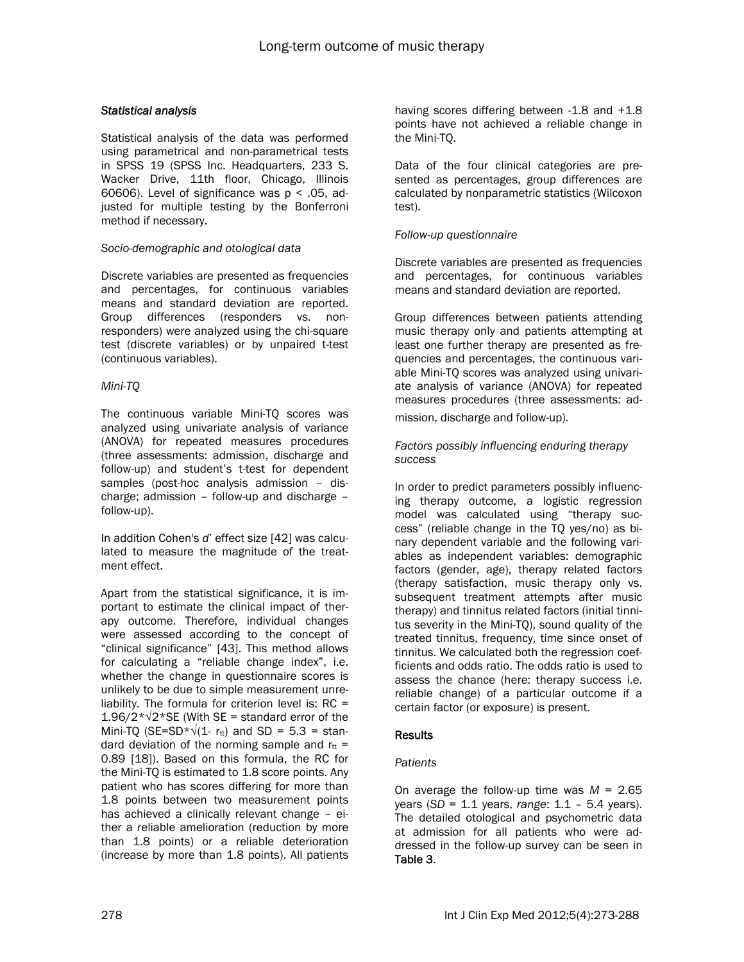## *Statistical analysis*

Statistical analysis of the data was performed using parametrical and non-parametrical tests in SPSS 19 (SPSS Inc. Headquarters, 233 S. Wacker Drive, 11th floor, Chicago, Illinois 60606). Level of significance was  $p < .05$ , adjusted for multiple testing by the Bonferroni method if necessary.

#### *Socio-demographic and otological data*

Discrete variables are presented as frequencies and percentages, for continuous variables means and standard deviation are reported. Group differences (responders vs. nonresponders) were analyzed using the chi-square test (discrete variables) or by unpaired t-test (continuous variables).

#### *Mini-TQ*

The continuous variable Mini-TQ scores was analyzed using univariate analysis of variance (ANOVA) for repeated measures procedures (three assessments: admission, discharge and follow-up) and student's t-test for dependent samples (post-hoc analysis admission – discharge; admission – follow-up and discharge – follow-up).

In addition Cohen's *d*' effect size [42] was calculated to measure the magnitude of the treatment effect.

Apart from the statistical significance, it is important to estimate the clinical impact of therapy outcome. Therefore, individual changes were assessed according to the concept of "clinical significance" [43]. This method allows for calculating a "reliable change index", i.e. whether the change in questionnaire scores is unlikely to be due to simple measurement unreliability. The formula for criterion level is: RC = 1.96/2\*√2\*SE (With SE = standard error of the Mini-TQ (SE=SD<sup>\*</sup> $\sqrt{(1 - r_{tt})}$  and SD = 5.3 = standard deviation of the norming sample and  $r_{tt}$  = 0.89 [18]). Based on this formula, the RC for the Mini-TQ is estimated to 1.8 score points. Any patient who has scores differing for more than 1.8 points between two measurement points has achieved a clinically relevant change – either a reliable amelioration (reduction by more than 1.8 points) or a reliable deterioration (increase by more than 1.8 points). All patients having scores differing between -1.8 and +1.8 points have not achieved a reliable change in the Mini-TQ.

Data of the four clinical categories are presented as percentages, group differences are calculated by nonparametric statistics (Wilcoxon test).

#### *Follow-up questionnaire*

Discrete variables are presented as frequencies and percentages, for continuous variables means and standard deviation are reported.

Group differences between patients attending music therapy only and patients attempting at least one further therapy are presented as frequencies and percentages, the continuous variable Mini-TQ scores was analyzed using univariate analysis of variance (ANOVA) for repeated measures procedures (three assessments: admission, discharge and follow-up).

## *Factors possibly influencing enduring therapy success*

In order to predict parameters possibly influencing therapy outcome, a logistic regression model was calculated using "therapy success" (reliable change in the TQ yes/no) as binary dependent variable and the following variables as independent variables: demographic factors (gender, age), therapy related factors (therapy satisfaction, music therapy only vs. subsequent treatment attempts after music therapy) and tinnitus related factors (initial tinnitus severity in the Mini-TQ), sound quality of the treated tinnitus, frequency, time since onset of tinnitus. We calculated both the regression coefficients and odds ratio. The odds ratio is used to assess the chance (here: therapy success i.e. reliable change) of a particular outcome if a certain factor (or exposure) is present.

# **Results**

# *Patients*

On average the follow-up time was *M* = 2.65 years (*SD* = 1.1 years, *range*: 1.1 – 5.4 years). The detailed otological and psychometric data at admission for all patients who were addressed in the follow-up survey can be seen in Table 3.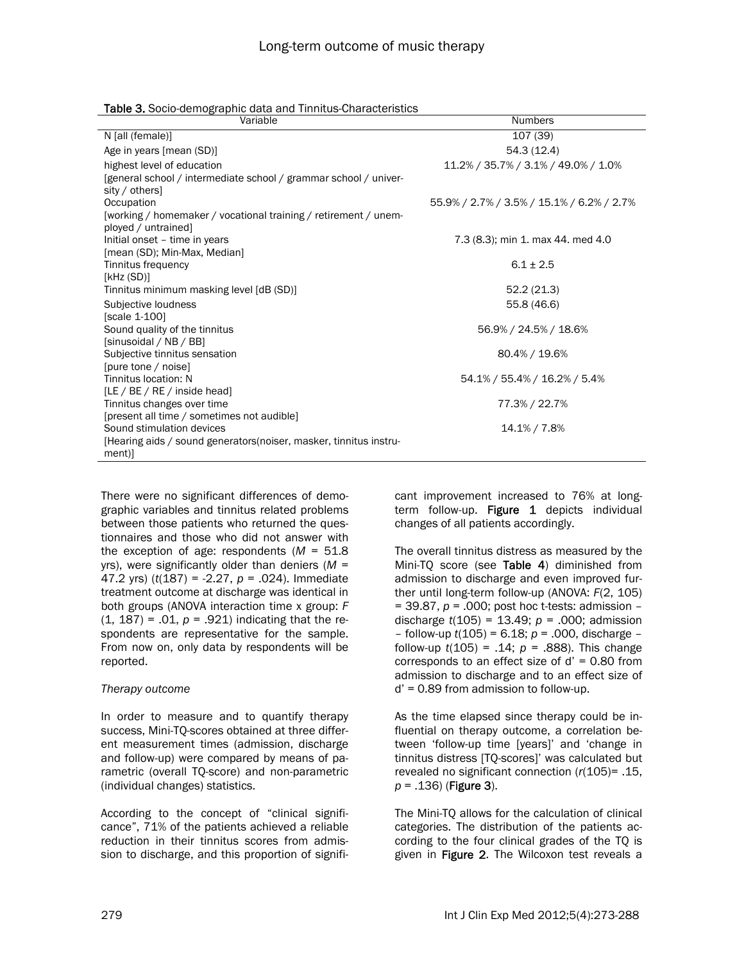| Variable                                                           | <b>Numbers</b>                            |
|--------------------------------------------------------------------|-------------------------------------------|
| N [all (female)]                                                   | 107(39)                                   |
| Age in years [mean (SD)]                                           | 54.3(12.4)                                |
| highest level of education                                         | 11.2% / 35.7% / 3.1% / 49.0% / 1.0%       |
| [general school / intermediate school / grammar school / univer-   |                                           |
| sity / others]                                                     |                                           |
| Occupation                                                         | 55.9% / 2.7% / 3.5% / 15.1% / 6.2% / 2.7% |
| [working / homemaker / vocational training / retirement / unem-    |                                           |
| ployed / untrained]                                                |                                           |
| Initial onset - time in years                                      | 7.3 (8.3); min 1. max 44. med 4.0         |
| [mean (SD); Min-Max, Median]<br>Tinnitus frequency                 | $6.1 + 2.5$                               |
| [kHz(SD)]                                                          |                                           |
| Tinnitus minimum masking level [dB (SD)]                           | 52.2(21.3)                                |
| Subjective loudness                                                | 55.8 (46.6)                               |
| [scale 1-100]                                                      |                                           |
| Sound quality of the tinnitus                                      | 56.9% / 24.5% / 18.6%                     |
| [sinusoidal / NB / BB]                                             |                                           |
| Subjective tinnitus sensation                                      | 80.4% / 19.6%                             |
| [pure tone / noise]                                                |                                           |
| Tinnitus location: N                                               | 54.1% / 55.4% / 16.2% / 5.4%              |
| [LE / BE / RE / inside head]                                       |                                           |
| Tinnitus changes over time                                         | 77.3% / 22.7%                             |
| [present all time / sometimes not audible]                         |                                           |
| Sound stimulation devices                                          | 14.1% / 7.8%                              |
| [Hearing aids / sound generators (noiser, masker, tinnitus instru- |                                           |
| ment)]                                                             |                                           |

There were no significant differences of demographic variables and tinnitus related problems between those patients who returned the questionnaires and those who did not answer with the exception of age: respondents (*M* = 51.8 yrs), were significantly older than deniers (*M* = 47.2 yrs) (*t*(187) = -2.27, *p* = .024). Immediate treatment outcome at discharge was identical in both groups (ANOVA interaction time x group: *F*  $(1, 187) = .01$ ,  $p = .921$ ) indicating that the respondents are representative for the sample. From now on, only data by respondents will be reported.

#### *Therapy outcome*

In order to measure and to quantify therapy success, Mini-TQ-scores obtained at three different measurement times (admission, discharge and follow-up) were compared by means of parametric (overall TQ-score) and non-parametric (individual changes) statistics.

According to the concept of "clinical significance", 71% of the patients achieved a reliable reduction in their tinnitus scores from admission to discharge, and this proportion of significant improvement increased to 76% at longterm follow-up. Figure 1 depicts individual changes of all patients accordingly.

The overall tinnitus distress as measured by the Mini-TQ score (see Table 4) diminished from admission to discharge and even improved further until long-term follow-up (ANOVA: *F*(2, 105) = 39.87, *p* = .000; post hoc t-tests: admission – discharge *t*(105) = 13.49; *p* = .000; admission – follow-up *t*(105) = 6.18; *p* = .000, discharge – follow-up *t*(105) = .14; *p* = .888). This change corresponds to an effect size of  $d' = 0.80$  from admission to discharge and to an effect size of d' = 0.89 from admission to follow-up.

As the time elapsed since therapy could be influential on therapy outcome, a correlation between 'follow-up time [years]' and 'change in tinnitus distress [TQ-scores]' was calculated but revealed no significant connection (*r*(105)= .15, *p* = .136) (Figure 3).

The Mini-TQ allows for the calculation of clinical categories. The distribution of the patients according to the four clinical grades of the TQ is given in Figure 2. The Wilcoxon test reveals a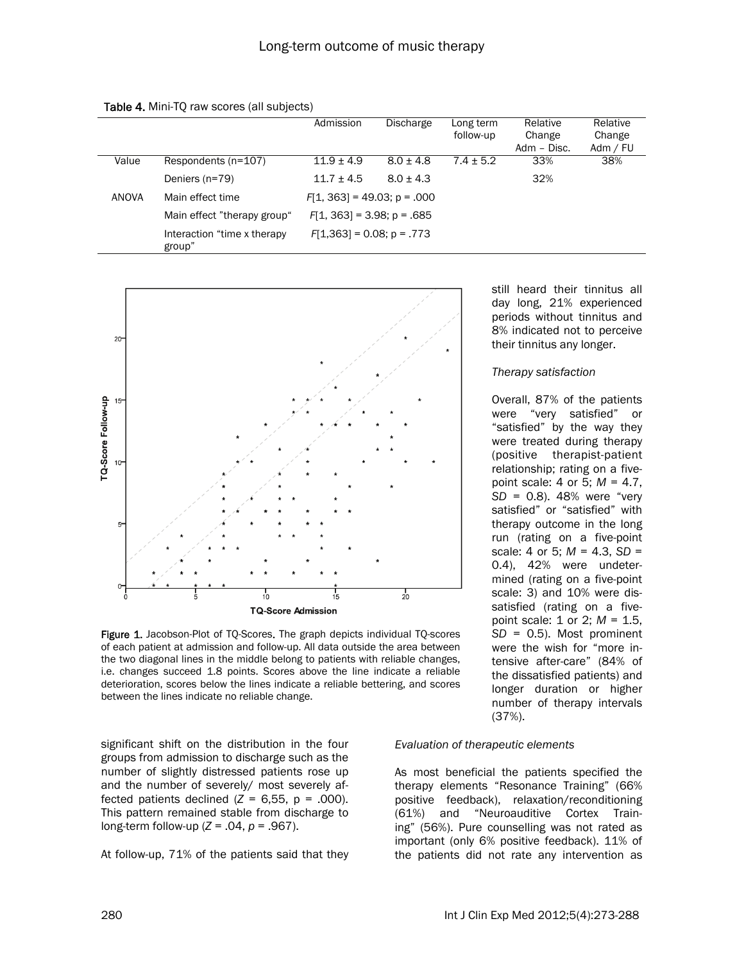|              |                                       | Admission                     | <b>Discharge</b> | Long term<br>follow-up | Relative<br>Change<br>Adm - Disc. | Relative<br>Change<br>Adm / FU |
|--------------|---------------------------------------|-------------------------------|------------------|------------------------|-----------------------------------|--------------------------------|
| Value        | Respondents (n=107)                   | $11.9 \pm 4.9$                | $8.0 \pm 4.8$    | $7.4 \pm 5.2$          | 33%                               | 38%                            |
|              | Deniers (n=79)                        | $11.7 \pm 4.5$                | $8.0 + 4.3$      |                        | 32%                               |                                |
| <b>ANOVA</b> | Main effect time                      | $F[1, 363] = 49.03$ ; p = 000 |                  |                        |                                   |                                |
|              | Main effect "therapy group"           | $F[1, 363] = 3.98$ ; p = .685 |                  |                        |                                   |                                |
|              | Interaction "time x therapy<br>group" | $F[1,363] = 0.08$ ; p = .773  |                  |                        |                                   |                                |





Figure 1. Jacobson-Plot of TQ-Scores. The graph depicts individual TQ-scores of each patient at admission and follow-up. All data outside the area between the two diagonal lines in the middle belong to patients with reliable changes, i.e. changes succeed 1.8 points. Scores above the line indicate a reliable deterioration, scores below the lines indicate a reliable bettering, and scores between the lines indicate no reliable change.

significant shift on the distribution in the four groups from admission to discharge such as the number of slightly distressed patients rose up and the number of severely/ most severely affected patients declined  $(Z = 6.55, p = .000)$ . This pattern remained stable from discharge to long-term follow-up (*Z* = .04, *p* = .967).

At follow-up, 71% of the patients said that they

still heard their tinnitus all day long, 21% experienced periods without tinnitus and 8% indicated not to perceive their tinnitus any longer.

#### *Therapy satisfaction*

Overall, 87% of the patients were "very satisfied" or "satisfied" by the way they were treated during therapy (positive therapist-patient relationship; rating on a fivepoint scale: 4 or 5; *M =* 4.7, *SD* = 0.8). 48% were "very satisfied" or "satisfied" with therapy outcome in the long run (rating on a five-point scale: 4 or 5; *M =* 4.3, *SD* = 0.4), 42% were undetermined (rating on a five-point scale: 3) and 10% were dissatisfied (rating on a fivepoint scale: 1 or 2; *M =* 1.5, *SD* = 0.5). Most prominent were the wish for "more intensive after-care" (84% of the dissatisfied patients) and longer duration or higher number of therapy intervals (37%).

#### *Evaluation of therapeutic elements*

As most beneficial the patients specified the therapy elements "Resonance Training" (66% positive feedback), relaxation/reconditioning (61%) and "Neuroauditive Cortex Training" (56%). Pure counselling was not rated as important (only 6% positive feedback). 11% of the patients did not rate any intervention as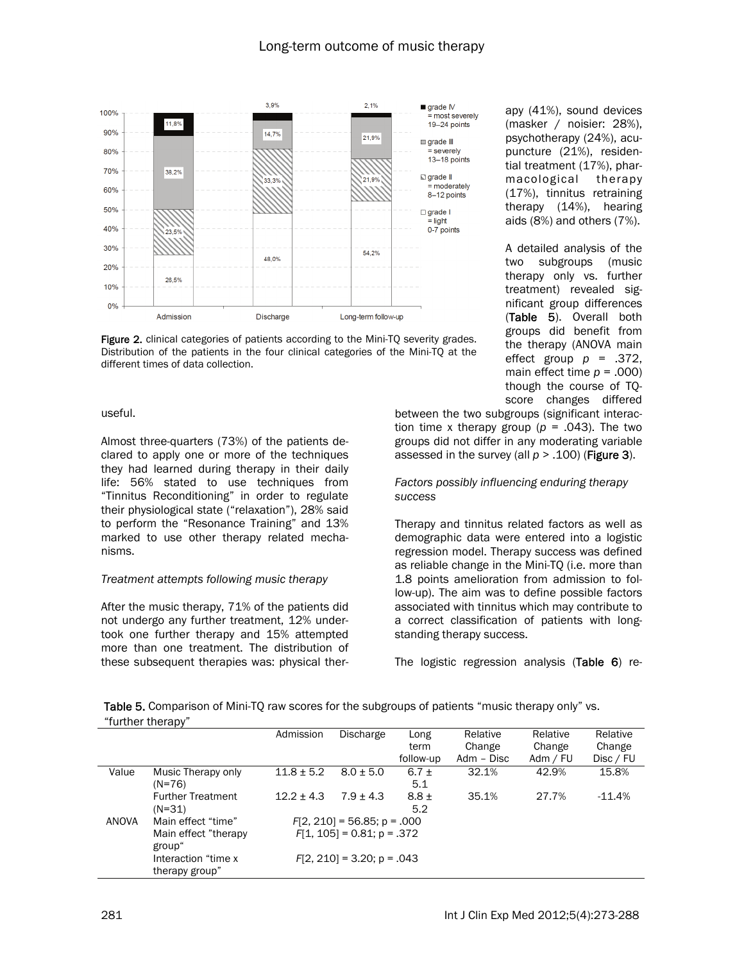

Figure 2. clinical categories of patients according to the Mini-TQ severity grades. Distribution of the patients in the four clinical categories of the Mini-TQ at the different times of data collection.

#### useful.

Almost three-quarters (73%) of the patients declared to apply one or more of the techniques they had learned during therapy in their daily life: 56% stated to use techniques from "Tinnitus Reconditioning" in order to regulate their physiological state ("relaxation"), 28% said to perform the "Resonance Training" and 13% marked to use other therapy related mechanisms.

#### *Treatment attempts following music therapy*

After the music therapy, 71% of the patients did not undergo any further treatment, 12% undertook one further therapy and 15% attempted more than one treatment. The distribution of these subsequent therapies was: physical ther-

apy (41%), sound devices (masker / noisier: 28%), psychotherapy (24%), acupuncture (21%), residential treatment (17%), pharmacological therapy (17%), tinnitus retraining therapy (14%), hearing aids (8%) and others (7%).

A detailed analysis of the two subgroups (music therapy only vs. further treatment) revealed significant group differences (Table 5). Overall both groups did benefit from the therapy (ANOVA main effect group  $p = .372$ , main effect time  $p = .000$ ) though the course of TQscore changes differed

between the two subgroups (significant interaction time x therapy group ( $p = .043$ ). The two groups did not differ in any moderating variable assessed in the survey (all  $p > .100$ ) (Figure 3).

#### *Factors possibly influencing enduring therapy success*

Therapy and tinnitus related factors as well as demographic data were entered into a logistic regression model. Therapy success was defined as reliable change in the Mini-TQ (i.e. more than 1.8 points amelioration from admission to follow-up). The aim was to define possible factors associated with tinnitus which may contribute to a correct classification of patients with longstanding therapy success.

The logistic regression analysis (Table 6) re-

Table 5. Comparison of Mini-TQ raw scores for the subgroups of patients "music therapy only" vs. "further therapy"

|              | - 12                     | Admission      | Discharge                     | Long      | Relative   | Relative | Relative  |
|--------------|--------------------------|----------------|-------------------------------|-----------|------------|----------|-----------|
|              |                          |                |                               | term      | Change     | Change   | Change    |
|              |                          |                |                               | follow-up | Adm - Disc | Adm / FU | Disc / FU |
| Value        | Music Therapy only       | $11.8 \pm 5.2$ | $8.0 \pm 5.0$                 | 6.7 $\pm$ | 32.1%      | 42.9%    | 15.8%     |
|              | $(N=76)$                 |                |                               | 5.1       |            |          |           |
|              | <b>Further Treatment</b> | $12.2 + 4.3$   | $7.9 + 4.3$                   | $8.8 \pm$ | 35.1%      | 27.7%    | $-11.4%$  |
|              | (N=31)                   |                |                               | 5.2       |            |          |           |
| <b>ANOVA</b> | Main effect "time"       |                | $F[2, 210] = 56.85$ ; p = 000 |           |            |          |           |
|              | Main effect "therapy"    |                | $F[1, 105] = 0.81$ ; p = .372 |           |            |          |           |
|              | group"                   |                |                               |           |            |          |           |
|              | Interaction "time x      |                | $F[2, 210] = 3.20$ ; p = 043  |           |            |          |           |
|              | therapy group"           |                |                               |           |            |          |           |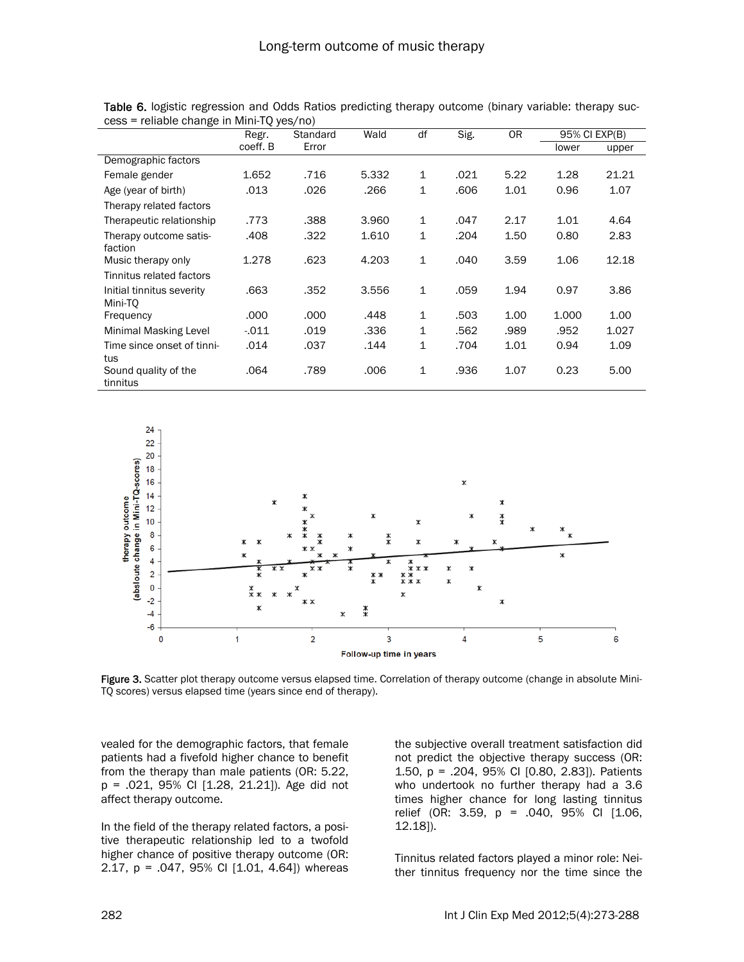|                                                | Regr.    | Standard | Wald  | df | Sig. | <b>OR</b> | 95% CI EXP(B) |       |
|------------------------------------------------|----------|----------|-------|----|------|-----------|---------------|-------|
|                                                | coeff. B | Error    |       |    |      |           | lower         | upper |
| Demographic factors                            |          |          |       |    |      |           |               |       |
| Female gender                                  | 1.652    | .716     | 5.332 | 1  | .021 | 5.22      | 1.28          | 21.21 |
| Age (year of birth)                            | .013     | .026     | .266  | 1  | .606 | 1.01      | 0.96          | 1.07  |
| Therapy related factors                        |          |          |       |    |      |           |               |       |
| Therapeutic relationship                       | .773     | .388     | 3.960 | 1  | .047 | 2.17      | 1.01          | 4.64  |
| Therapy outcome satis-<br>faction              | .408     | .322     | 1.610 | 1  | .204 | 1.50      | 0.80          | 2.83  |
| Music therapy only<br>Tinnitus related factors | 1.278    | .623     | 4.203 | 1  | .040 | 3.59      | 1.06          | 12.18 |
| Initial tinnitus severity<br>Mini-TO           | .663     | .352     | 3.556 | 1  | .059 | 1.94      | 0.97          | 3.86  |
| Frequency                                      | .000     | .000     | .448  | 1  | .503 | 1.00      | 1.000         | 1.00  |
| <b>Minimal Masking Level</b>                   | $-011$   | .019     | .336  | 1  | .562 | .989      | .952          | 1.027 |
| Time since onset of tinni-<br>tus              | .014     | .037     | .144  | 1  | .704 | 1.01      | 0.94          | 1.09  |
| Sound quality of the<br>tinnitus               | .064     | .789     | .006  | 1  | .936 | 1.07      | 0.23          | 5.00  |

Table 6. logistic regression and Odds Ratios predicting therapy outcome (binary variable: therapy success = reliable change in Mini-TQ yes/no)



Figure 3. Scatter plot therapy outcome versus elapsed time. Correlation of therapy outcome (change in absolute Mini-TQ scores) versus elapsed time (years since end of therapy).

vealed for the demographic factors, that female patients had a fivefold higher chance to benefit from the therapy than male patients (OR: 5.22, p = .021, 95% CI [1.28, 21.21]). Age did not affect therapy outcome.

In the field of the therapy related factors, a positive therapeutic relationship led to a twofold higher chance of positive therapy outcome (OR: 2.17, p = .047, 95% CI [1.01, 4.64]) whereas the subjective overall treatment satisfaction did not predict the objective therapy success (OR: 1.50, p = .204, 95% CI [0.80, 2.83]). Patients who undertook no further therapy had a 3.6 times higher chance for long lasting tinnitus relief (OR: 3.59, p = .040, 95% CI [1.06, 12.18]).

Tinnitus related factors played a minor role: Neither tinnitus frequency nor the time since the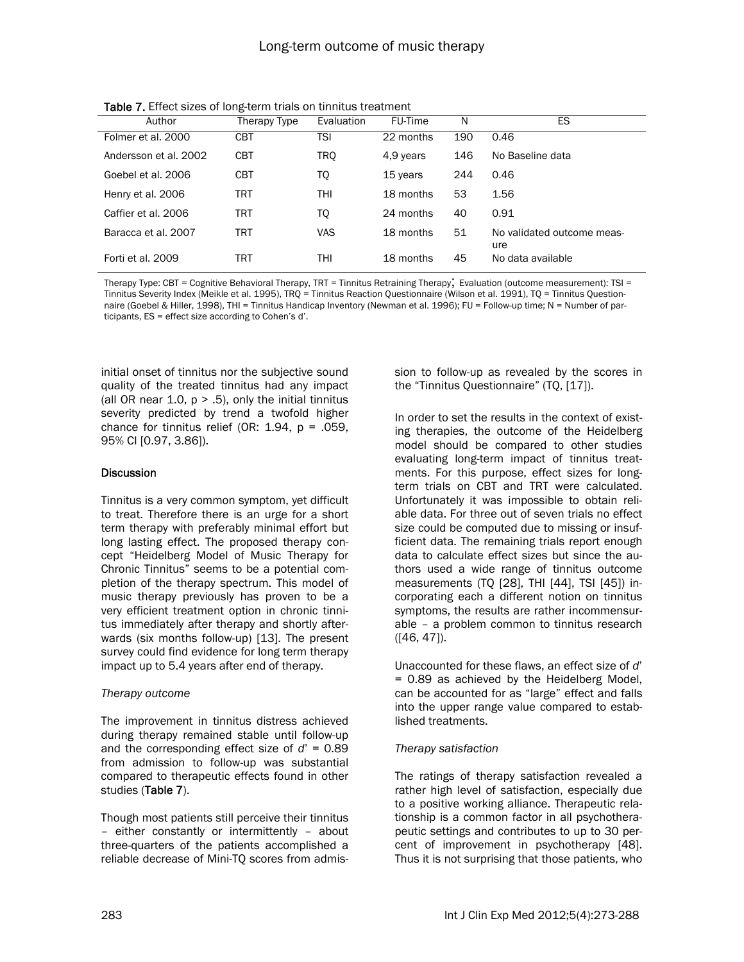| Author                | Therapy Type | Evaluation | FU-Time   | N   | ES.                               |
|-----------------------|--------------|------------|-----------|-----|-----------------------------------|
| Folmer et al. 2000    | CBT          | TSI        | 22 months | 190 | 0.46                              |
| Andersson et al. 2002 | <b>CBT</b>   | <b>TRO</b> | 4,9 years | 146 | No Baseline data                  |
| Goebel et al. 2006    | <b>CBT</b>   | TQ         | 15 years  | 244 | 0.46                              |
| Henry et al. 2006     | TRT          | THI        | 18 months | 53  | 1.56                              |
| Caffier et al. 2006   | TRT          | TQ         | 24 months | 40  | 0.91                              |
| Baracca et al. 2007   | TRT          | <b>VAS</b> | 18 months | 51  | No validated outcome meas-<br>ure |
| Forti et al. 2009     | TRT          | THI        | 18 months | 45  | No data available                 |
|                       |              |            |           |     |                                   |

Table 7. Effect sizes of long-term trials on tinnitus treatment

Therapy Type: CBT = Cognitive Behavioral Therapy, TRT = Tinnitus Retraining Therapy; Evaluation (outcome measurement): TSI = Tinnitus Severity Index (Meikle et al. 1995), TRQ = Tinnitus Reaction Questionnaire (Wilson et al. 1991), TQ = Tinnitus Questionnaire (Goebel & Hiller, 1998), THI = Tinnitus Handicap Inventory (Newman et al. 1996); FU = Follow-up time; N = Number of participants, ES = effect size according to Cohen's d'.

initial onset of tinnitus nor the subjective sound quality of the treated tinnitus had any impact (all OR near 1.0,  $p > .5$ ), only the initial tinnitus severity predicted by trend a twofold higher chance for tinnitus relief (OR:  $1.94$ ,  $p = .059$ , 95% CI [0.97, 3.86]).

#### **Discussion**

Tinnitus is a very common symptom, yet difficult to treat. Therefore there is an urge for a short term therapy with preferably minimal effort but long lasting effect. The proposed therapy concept "Heidelberg Model of Music Therapy for Chronic Tinnitus" seems to be a potential completion of the therapy spectrum. This model of music therapy previously has proven to be a very efficient treatment option in chronic tinnitus immediately after therapy and shortly afterwards (six months follow-up) [13]. The present survey could find evidence for long term therapy impact up to 5.4 years after end of therapy.

# *Therapy outcome*

The improvement in tinnitus distress achieved during therapy remained stable until follow-up and the corresponding effect size of *d*' = 0.89 from admission to follow-up was substantial compared to therapeutic effects found in other studies (Table 7).

Though most patients still perceive their tinnitus – either constantly or intermittently – about three-quarters of the patients accomplished a reliable decrease of Mini-TQ scores from admission to follow-up as revealed by the scores in the "Tinnitus Questionnaire" (TQ, [17]).

In order to set the results in the context of existing therapies, the outcome of the Heidelberg model should be compared to other studies evaluating long-term impact of tinnitus treatments. For this purpose, effect sizes for longterm trials on CBT and TRT were calculated. Unfortunately it was impossible to obtain reliable data. For three out of seven trials no effect size could be computed due to missing or insufficient data. The remaining trials report enough data to calculate effect sizes but since the authors used a wide range of tinnitus outcome measurements (TQ [28], THI [44], TSI [45]) incorporating each a different notion on tinnitus symptoms, the results are rather incommensurable – a problem common to tinnitus research ([46, 47]).

Unaccounted for these flaws, an effect size of *d*' = 0.89 as achieved by the Heidelberg Model, can be accounted for as "large" effect and falls into the upper range value compared to established treatments.

# *Therapy satisfaction*

The ratings of therapy satisfaction revealed a rather high level of satisfaction, especially due to a positive working alliance. Therapeutic relationship is a common factor in all psychotherapeutic settings and contributes to up to 30 percent of improvement in psychotherapy [48]. Thus it is not surprising that those patients, who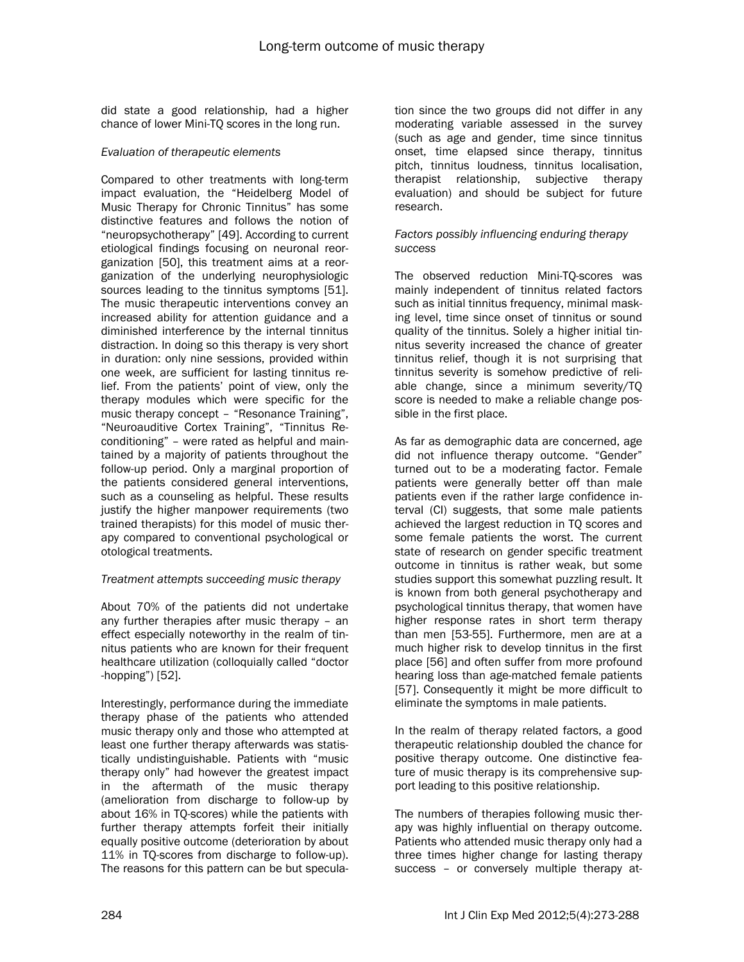did state a good relationship, had a higher chance of lower Mini-TQ scores in the long run.

#### *Evaluation of therapeutic elements*

Compared to other treatments with long-term impact evaluation, the "Heidelberg Model of Music Therapy for Chronic Tinnitus" has some distinctive features and follows the notion of "neuropsychotherapy" [49]. According to current etiological findings focusing on neuronal reorganization [50], this treatment aims at a reorganization of the underlying neurophysiologic sources leading to the tinnitus symptoms [51]. The music therapeutic interventions convey an increased ability for attention guidance and a diminished interference by the internal tinnitus distraction. In doing so this therapy is very short in duration: only nine sessions, provided within one week, are sufficient for lasting tinnitus relief. From the patients' point of view, only the therapy modules which were specific for the music therapy concept – "Resonance Training", "Neuroauditive Cortex Training", "Tinnitus Reconditioning" – were rated as helpful and maintained by a majority of patients throughout the follow-up period. Only a marginal proportion of the patients considered general interventions, such as a counseling as helpful. These results justify the higher manpower requirements (two trained therapists) for this model of music therapy compared to conventional psychological or otological treatments.

#### *Treatment attempts succeeding music therapy*

About 70% of the patients did not undertake any further therapies after music therapy – an effect especially noteworthy in the realm of tinnitus patients who are known for their frequent healthcare utilization (colloquially called "doctor -hopping") [52].

Interestingly, performance during the immediate therapy phase of the patients who attended music therapy only and those who attempted at least one further therapy afterwards was statistically undistinguishable. Patients with "music therapy only" had however the greatest impact in the aftermath of the music therapy (amelioration from discharge to follow-up by about 16% in TQ-scores) while the patients with further therapy attempts forfeit their initially equally positive outcome (deterioration by about 11% in TQ-scores from discharge to follow-up). The reasons for this pattern can be but speculation since the two groups did not differ in any moderating variable assessed in the survey (such as age and gender, time since tinnitus onset, time elapsed since therapy, tinnitus pitch, tinnitus loudness, tinnitus localisation, therapist relationship, subjective therapy evaluation) and should be subject for future research.

#### *Factors possibly influencing enduring therapy success*

The observed reduction Mini-TQ-scores was mainly independent of tinnitus related factors such as initial tinnitus frequency, minimal masking level, time since onset of tinnitus or sound quality of the tinnitus. Solely a higher initial tinnitus severity increased the chance of greater tinnitus relief, though it is not surprising that tinnitus severity is somehow predictive of reliable change, since a minimum severity/TQ score is needed to make a reliable change possible in the first place.

As far as demographic data are concerned, age did not influence therapy outcome. "Gender" turned out to be a moderating factor. Female patients were generally better off than male patients even if the rather large confidence interval (CI) suggests, that some male patients achieved the largest reduction in TQ scores and some female patients the worst. The current state of research on gender specific treatment outcome in tinnitus is rather weak, but some studies support this somewhat puzzling result. It is known from both general psychotherapy and psychological tinnitus therapy, that women have higher response rates in short term therapy than men [53-55]. Furthermore, men are at a much higher risk to develop tinnitus in the first place [56] and often suffer from more profound hearing loss than age-matched female patients [57]. Consequently it might be more difficult to eliminate the symptoms in male patients.

In the realm of therapy related factors, a good therapeutic relationship doubled the chance for positive therapy outcome. One distinctive feature of music therapy is its comprehensive support leading to this positive relationship.

The numbers of therapies following music therapy was highly influential on therapy outcome. Patients who attended music therapy only had a three times higher change for lasting therapy success – or conversely multiple therapy at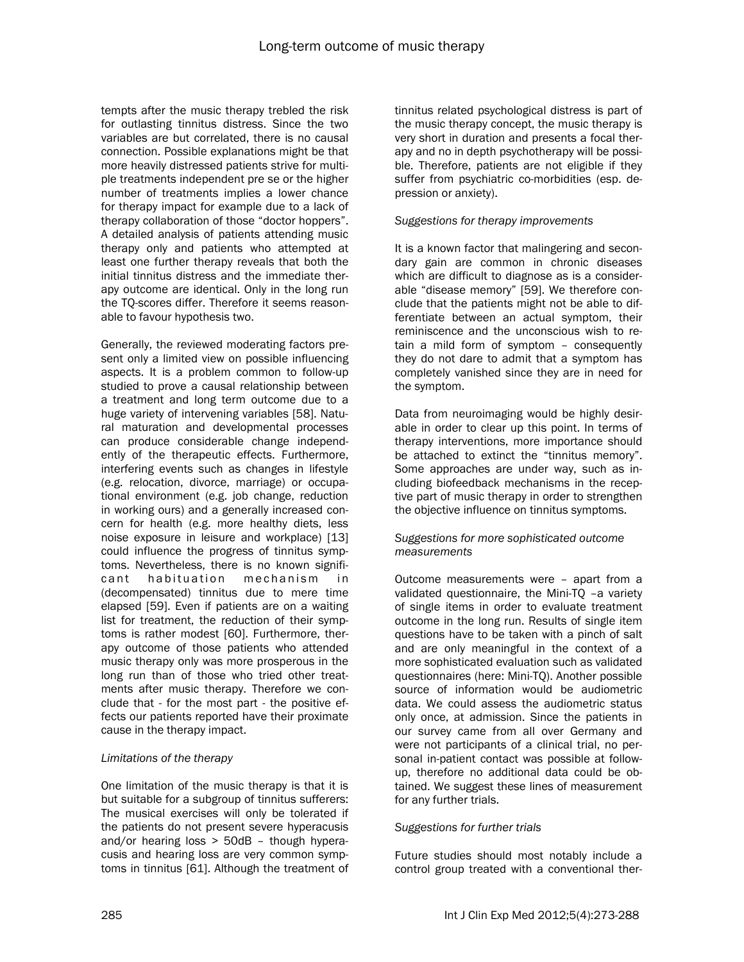tempts after the music therapy trebled the risk for outlasting tinnitus distress. Since the two variables are but correlated, there is no causal connection. Possible explanations might be that more heavily distressed patients strive for multiple treatments independent pre se or the higher number of treatments implies a lower chance for therapy impact for example due to a lack of therapy collaboration of those "doctor hoppers". A detailed analysis of patients attending music therapy only and patients who attempted at least one further therapy reveals that both the initial tinnitus distress and the immediate therapy outcome are identical. Only in the long run the TQ-scores differ. Therefore it seems reasonable to favour hypothesis two.

Generally, the reviewed moderating factors present only a limited view on possible influencing aspects. It is a problem common to follow-up studied to prove a causal relationship between a treatment and long term outcome due to a huge variety of intervening variables [58]. Natural maturation and developmental processes can produce considerable change independently of the therapeutic effects. Furthermore, interfering events such as changes in lifestyle (e.g. relocation, divorce, marriage) or occupational environment (e.g. job change, reduction in working ours) and a generally increased concern for health (e.g. more healthy diets, less noise exposure in leisure and workplace) [13] could influence the progress of tinnitus symptoms. Nevertheless, there is no known significant habituation mechanism in (decompensated) tinnitus due to mere time elapsed [59]. Even if patients are on a waiting list for treatment, the reduction of their symptoms is rather modest [60]. Furthermore, therapy outcome of those patients who attended music therapy only was more prosperous in the long run than of those who tried other treatments after music therapy. Therefore we conclude that - for the most part - the positive effects our patients reported have their proximate cause in the therapy impact.

# *Limitations of the therapy*

One limitation of the music therapy is that it is but suitable for a subgroup of tinnitus sufferers: The musical exercises will only be tolerated if the patients do not present severe hyperacusis and/or hearing loss > 50dB – though hyperacusis and hearing loss are very common symptoms in tinnitus [61]. Although the treatment of tinnitus related psychological distress is part of the music therapy concept, the music therapy is very short in duration and presents a focal therapy and no in depth psychotherapy will be possible. Therefore, patients are not eligible if they suffer from psychiatric co-morbidities (esp. depression or anxiety).

#### *Suggestions for therapy improvements*

It is a known factor that malingering and secondary gain are common in chronic diseases which are difficult to diagnose as is a considerable "disease memory" [59]. We therefore conclude that the patients might not be able to differentiate between an actual symptom, their reminiscence and the unconscious wish to retain a mild form of symptom – consequently they do not dare to admit that a symptom has completely vanished since they are in need for the symptom.

Data from neuroimaging would be highly desirable in order to clear up this point. In terms of therapy interventions, more importance should be attached to extinct the "tinnitus memory". Some approaches are under way, such as including biofeedback mechanisms in the receptive part of music therapy in order to strengthen the objective influence on tinnitus symptoms.

#### *Suggestions for more sophisticated outcome measurements*

Outcome measurements were – apart from a validated questionnaire, the Mini-TQ -a variety of single items in order to evaluate treatment outcome in the long run. Results of single item questions have to be taken with a pinch of salt and are only meaningful in the context of a more sophisticated evaluation such as validated questionnaires (here: Mini-TQ). Another possible source of information would be audiometric data. We could assess the audiometric status only once, at admission. Since the patients in our survey came from all over Germany and were not participants of a clinical trial, no personal in-patient contact was possible at followup, therefore no additional data could be obtained. We suggest these lines of measurement for any further trials.

#### *Suggestions for further trials*

Future studies should most notably include a control group treated with a conventional ther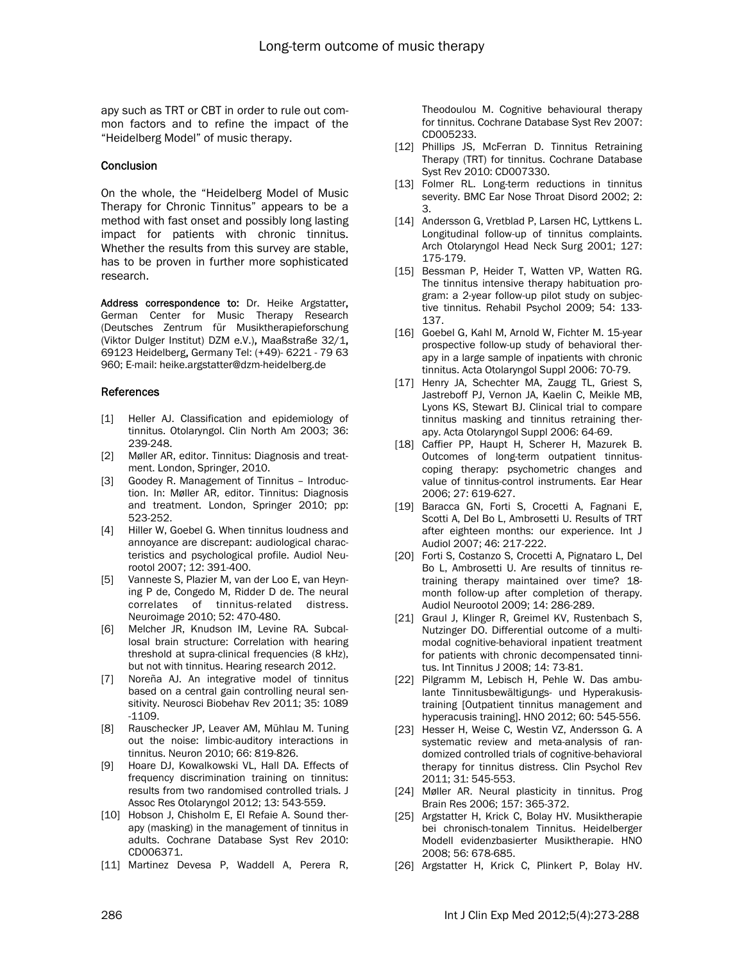apy such as TRT or CBT in order to rule out common factors and to refine the impact of the "Heidelberg Model" of music therapy.

#### **Conclusion**

On the whole, the "Heidelberg Model of Music Therapy for Chronic Tinnitus" appears to be a method with fast onset and possibly long lasting impact for patients with chronic tinnitus. Whether the results from this survey are stable, has to be proven in further more sophisticated research.

Address correspondence to: Dr. Heike Argstatter, German Center for Music Therapy Research (Deutsches Zentrum für Musiktherapieforschung (Viktor Dulger Institut) DZM e.V.), Maaßstraße 32/1, 69123 Heidelberg, Germany Tel: (+49)- 6221 - 79 63 960; E-mail: heike.argstatter@dzm-heidelberg.de

#### References

- [1] Heller AJ. Classification and epidemiology of tinnitus. Otolaryngol. Clin North Am 2003; 36: 239-248.
- [2] Møller AR, editor. Tinnitus: Diagnosis and treatment. London, Springer, 2010.
- [3] Goodey R. Management of Tinnitus Introduction. In: Møller AR, editor. Tinnitus: Diagnosis and treatment. London, Springer 2010; pp: 523-252.
- [4] Hiller W, Goebel G. When tinnitus loudness and annoyance are discrepant: audiological characteristics and psychological profile. Audiol Neurootol 2007; 12: 391-400.
- [5] Vanneste S, Plazier M, van der Loo E, van Heyning P de, Congedo M, Ridder D de. The neural correlates of tinnitus-related distress. Neuroimage 2010; 52: 470-480.
- [6] Melcher JR, Knudson IM, Levine RA. Subcallosal brain structure: Correlation with hearing threshold at supra-clinical frequencies (8 kHz), but not with tinnitus. Hearing research 2012.
- [7] Noreña AJ. An integrative model of tinnitus based on a central gain controlling neural sensitivity. Neurosci Biobehav Rev 2011; 35: 1089 -1109.
- [8] Rauschecker JP, Leaver AM, Mühlau M. Tuning out the noise: limbic-auditory interactions in tinnitus. Neuron 2010; 66: 819-826.
- [9] Hoare DJ, Kowalkowski VL, Hall DA. Effects of frequency discrimination training on tinnitus: results from two randomised controlled trials. J Assoc Res Otolaryngol 2012; 13: 543-559.
- [10] Hobson J, Chisholm E, El Refaie A. Sound therapy (masking) in the management of tinnitus in adults. Cochrane Database Syst Rev 2010: CD006371.
- [11] Martinez Devesa P, Waddell A, Perera R,

Theodoulou M. Cognitive behavioural therapy for tinnitus. Cochrane Database Syst Rev 2007: CD005233.

- [12] Phillips JS, McFerran D. Tinnitus Retraining Therapy (TRT) for tinnitus. Cochrane Database Syst Rev 2010: CD007330.
- [13] Folmer RL. Long-term reductions in tinnitus severity. BMC Ear Nose Throat Disord 2002; 2: 3.
- [14] Andersson G, Vretblad P, Larsen HC, Lyttkens L. Longitudinal follow-up of tinnitus complaints. Arch Otolaryngol Head Neck Surg 2001; 127: 175-179.
- [15] Bessman P, Heider T, Watten VP, Watten RG. The tinnitus intensive therapy habituation program: a 2-year follow-up pilot study on subjective tinnitus. Rehabil Psychol 2009; 54: 133- 137.
- [16] Goebel G, Kahl M, Arnold W, Fichter M. 15-year prospective follow-up study of behavioral therapy in a large sample of inpatients with chronic tinnitus. Acta Otolaryngol Suppl 2006: 70-79.
- [17] Henry JA, Schechter MA, Zaugg TL, Griest S, Jastreboff PJ, Vernon JA, Kaelin C, Meikle MB, Lyons KS, Stewart BJ. Clinical trial to compare tinnitus masking and tinnitus retraining therapy. Acta Otolaryngol Suppl 2006: 64-69.
- [18] Caffier PP, Haupt H, Scherer H, Mazurek B. Outcomes of long-term outpatient tinnituscoping therapy: psychometric changes and value of tinnitus-control instruments. Ear Hear 2006; 27: 619-627.
- [19] Baracca GN, Forti S, Crocetti A, Fagnani E, Scotti A, Del Bo L, Ambrosetti U. Results of TRT after eighteen months: our experience. Int J Audiol 2007; 46: 217-222.
- [20] Forti S, Costanzo S, Crocetti A, Pignataro L, Del Bo L, Ambrosetti U. Are results of tinnitus retraining therapy maintained over time? 18 month follow-up after completion of therapy. Audiol Neurootol 2009; 14: 286-289.
- [21] Graul J, Klinger R, Greimel KV, Rustenbach S, Nutzinger DO. Differential outcome of a multimodal cognitive-behavioral inpatient treatment for patients with chronic decompensated tinnitus. Int Tinnitus J 2008; 14: 73-81.
- [22] Pilgramm M, Lebisch H, Pehle W. Das ambulante Tinnitusbewältigungs- und Hyperakusistraining [Outpatient tinnitus management and hyperacusis training]. HNO 2012; 60: 545-556.
- [23] Hesser H, Weise C, Westin VZ, Andersson G. A systematic review and meta-analysis of randomized controlled trials of cognitive-behavioral therapy for tinnitus distress. Clin Psychol Rev 2011; 31: 545-553.
- [24] Møller AR. Neural plasticity in tinnitus. Prog Brain Res 2006; 157: 365-372.
- [25] Argstatter H, Krick C, Bolay HV. Musiktherapie bei chronisch-tonalem Tinnitus. Heidelberger Modell evidenzbasierter Musiktherapie. HNO 2008; 56: 678-685.
- [26] Argstatter H, Krick C, Plinkert P, Bolay HV.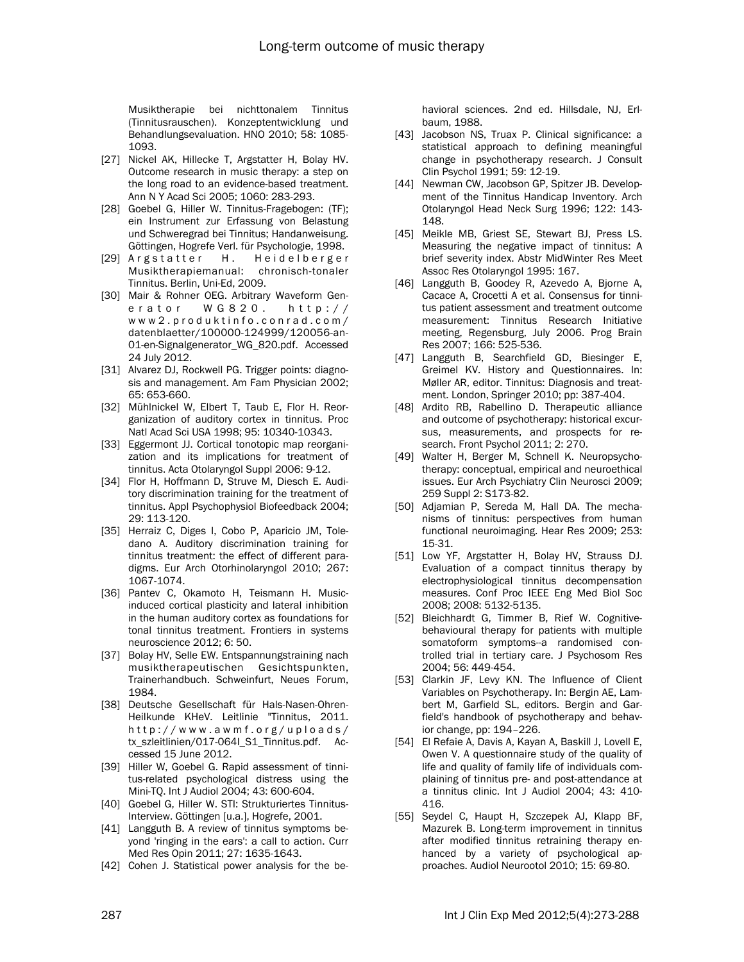Musiktherapie bei nichttonalem Tinnitus (Tinnitusrauschen). Konzeptentwicklung und Behandlungsevaluation. HNO 2010; 58: 1085- 1093.

- [27] Nickel AK, Hillecke T, Argstatter H, Bolay HV. Outcome research in music therapy: a step on the long road to an evidence-based treatment. Ann N Y Acad Sci 2005; 1060: 283-293.
- [28] Goebel G, Hiller W. Tinnitus-Fragebogen: (TF); ein Instrument zur Erfassung von Belastung und Schweregrad bei Tinnitus; Handanweisung. Göttingen, Hogrefe Verl. für Psychologie, 1998.
- [29] Argstatter H. Heidelberger Musiktherapiemanual: chronisch-tonaler Tinnitus. Berlin, Uni-Ed, 2009.
- [30] Mair & Rohner OEG. Arbitrary Waveform Generator WG820. http:// www2.produktinfo.conrad.com/ datenblaetter/100000-124999/120056-an-01-en-Signalgenerator\_WG\_820.pdf. Accessed 24 July 2012.
- [31] Alvarez DJ, Rockwell PG. Trigger points: diagnosis and management. Am Fam Physician 2002; 65: 653-660.
- [32] Mühlnickel W, Elbert T, Taub E, Flor H. Reorganization of auditory cortex in tinnitus. Proc Natl Acad Sci USA 1998; 95: 10340-10343.
- [33] Eggermont JJ. Cortical tonotopic map reorganization and its implications for treatment of tinnitus. Acta Otolaryngol Suppl 2006: 9-12.
- [34] Flor H, Hoffmann D, Struve M, Diesch E. Auditory discrimination training for the treatment of tinnitus. Appl Psychophysiol Biofeedback 2004; 29: 113-120.
- [35] Herraiz C, Diges I, Cobo P, Aparicio JM, Toledano A. Auditory discrimination training for tinnitus treatment: the effect of different paradigms. Eur Arch Otorhinolaryngol 2010; 267: 1067-1074.
- [36] Pantev C, Okamoto H, Teismann H. Musicinduced cortical plasticity and lateral inhibition in the human auditory cortex as foundations for tonal tinnitus treatment. Frontiers in systems neuroscience 2012; 6: 50.
- [37] Bolay HV, Selle EW. Entspannungstraining nach musiktherapeutischen Gesichtspunkten, Trainerhandbuch. Schweinfurt, Neues Forum, 1984.
- [38] Deutsche Gesellschaft für Hals-Nasen-Ohren-Heilkunde KHeV. Leitlinie "Tinnitus, 2011. http://www.awmf.org/uploads/ tx\_szleitlinien/017-064l\_S1\_Tinnitus.pdf. Accessed 15 June 2012.
- [39] Hiller W, Goebel G. Rapid assessment of tinnitus-related psychological distress using the Mini-TQ. Int J Audiol 2004; 43: 600-604.
- [40] Goebel G, Hiller W. STI: Strukturiertes Tinnitus-Interview. Göttingen [u.a.], Hogrefe, 2001.
- [41] Langguth B. A review of tinnitus symptoms beyond 'ringing in the ears': a call to action. Curr Med Res Opin 2011; 27: 1635-1643.
- [42] Cohen J. Statistical power analysis for the be-

havioral sciences. 2nd ed. Hillsdale, NJ, Erlbaum, 1988.

- [43] Jacobson NS, Truax P. Clinical significance: a statistical approach to defining meaningful change in psychotherapy research. J Consult Clin Psychol 1991; 59: 12-19.
- [44] Newman CW, Jacobson GP, Spitzer JB. Development of the Tinnitus Handicap Inventory. Arch Otolaryngol Head Neck Surg 1996; 122: 143- 148.
- [45] Meikle MB, Griest SE, Stewart BJ, Press LS. Measuring the negative impact of tinnitus: A brief severity index. Abstr MidWinter Res Meet Assoc Res Otolaryngol 1995: 167.
- [46] Langguth B, Goodey R, Azevedo A, Bjorne A, Cacace A, Crocetti A et al. Consensus for tinnitus patient assessment and treatment outcome measurement: Tinnitus Research Initiative meeting, Regensburg, July 2006. Prog Brain Res 2007; 166: 525-536.
- [47] Langguth B, Searchfield GD, Biesinger E, Greimel KV. History and Questionnaires. In: Møller AR, editor. Tinnitus: Diagnosis and treatment. London, Springer 2010; pp: 387-404.
- [48] Ardito RB, Rabellino D. Therapeutic alliance and outcome of psychotherapy: historical excursus, measurements, and prospects for research. Front Psychol 2011; 2: 270.
- [49] Walter H, Berger M, Schnell K. Neuropsychotherapy: conceptual, empirical and neuroethical issues. Eur Arch Psychiatry Clin Neurosci 2009; 259 Suppl 2: S173-82.
- [50] Adjamian P, Sereda M, Hall DA. The mechanisms of tinnitus: perspectives from human functional neuroimaging. Hear Res 2009; 253: 15-31.
- [51] Low YF, Argstatter H, Bolay HV, Strauss DJ. Evaluation of a compact tinnitus therapy by electrophysiological tinnitus decompensation measures. Conf Proc IEEE Eng Med Biol Soc 2008; 2008: 5132-5135.
- [52] Bleichhardt G, Timmer B, Rief W. Cognitivebehavioural therapy for patients with multiple somatoform symptoms--a randomised controlled trial in tertiary care. J Psychosom Res 2004; 56: 449-454.
- [53] Clarkin JF, Levy KN. The Influence of Client Variables on Psychotherapy. In: Bergin AE, Lambert M, Garfield SL, editors. Bergin and Garfield's handbook of psychotherapy and behavior change, pp: 194–226.
- [54] El Refaie A, Davis A, Kayan A, Baskill J, Lovell E, Owen V. A questionnaire study of the quality of life and quality of family life of individuals complaining of tinnitus pre- and post-attendance at a tinnitus clinic. Int J Audiol 2004; 43: 410- 416.
- [55] Seydel C, Haupt H, Szczepek AJ, Klapp BF, Mazurek B. Long-term improvement in tinnitus after modified tinnitus retraining therapy enhanced by a variety of psychological approaches. Audiol Neurootol 2010; 15: 69-80.